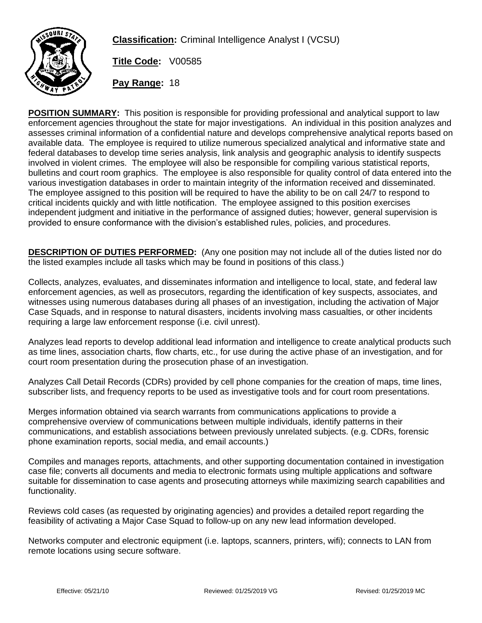

**Classification:** Criminal Intelligence Analyst I (VCSU)

**Title Code:** V00585

**Pay Range:** 18

**POSITION SUMMARY:** This position is responsible for providing professional and analytical support to law enforcement agencies throughout the state for major investigations. An individual in this position analyzes and assesses criminal information of a confidential nature and develops comprehensive analytical reports based on available data. The employee is required to utilize numerous specialized analytical and informative state and federal databases to develop time series analysis, link analysis and geographic analysis to identify suspects involved in violent crimes. The employee will also be responsible for compiling various statistical reports, bulletins and court room graphics. The employee is also responsible for quality control of data entered into the various investigation databases in order to maintain integrity of the information received and disseminated. The employee assigned to this position will be required to have the ability to be on call 24/7 to respond to critical incidents quickly and with little notification. The employee assigned to this position exercises independent judgment and initiative in the performance of assigned duties; however, general supervision is provided to ensure conformance with the division's established rules, policies, and procedures.

**DESCRIPTION OF DUTIES PERFORMED:** (Any one position may not include all of the duties listed nor do the listed examples include all tasks which may be found in positions of this class.)

Collects, analyzes, evaluates, and disseminates information and intelligence to local, state, and federal law enforcement agencies, as well as prosecutors, regarding the identification of key suspects, associates, and witnesses using numerous databases during all phases of an investigation, including the activation of Major Case Squads, and in response to natural disasters, incidents involving mass casualties, or other incidents requiring a large law enforcement response (i.e. civil unrest).

Analyzes lead reports to develop additional lead information and intelligence to create analytical products such as time lines, association charts, flow charts, etc., for use during the active phase of an investigation, and for court room presentation during the prosecution phase of an investigation.

Analyzes Call Detail Records (CDRs) provided by cell phone companies for the creation of maps, time lines, subscriber lists, and frequency reports to be used as investigative tools and for court room presentations.

Merges information obtained via search warrants from communications applications to provide a comprehensive overview of communications between multiple individuals, identify patterns in their communications, and establish associations between previously unrelated subjects. (e.g. CDRs, forensic phone examination reports, social media, and email accounts.)

Compiles and manages reports, attachments, and other supporting documentation contained in investigation case file; converts all documents and media to electronic formats using multiple applications and software suitable for dissemination to case agents and prosecuting attorneys while maximizing search capabilities and functionality.

Reviews cold cases (as requested by originating agencies) and provides a detailed report regarding the feasibility of activating a Major Case Squad to follow-up on any new lead information developed.

Networks computer and electronic equipment (i.e. laptops, scanners, printers, wifi); connects to LAN from remote locations using secure software.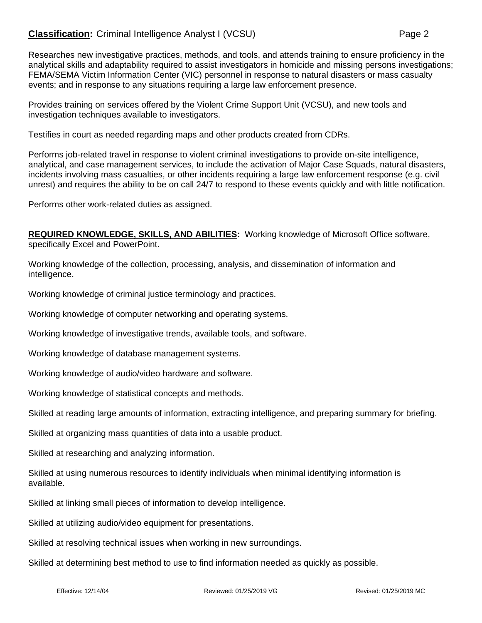## **Classification:** Criminal Intelligence Analyst I (VCSU) **Page 2** Page 2

Researches new investigative practices, methods, and tools, and attends training to ensure proficiency in the analytical skills and adaptability required to assist investigators in homicide and missing persons investigations; FEMA/SEMA Victim Information Center (VIC) personnel in response to natural disasters or mass casualty events; and in response to any situations requiring a large law enforcement presence.

Provides training on services offered by the Violent Crime Support Unit (VCSU), and new tools and investigation techniques available to investigators.

Testifies in court as needed regarding maps and other products created from CDRs.

Performs job-related travel in response to violent criminal investigations to provide on-site intelligence, analytical, and case management services, to include the activation of Major Case Squads, natural disasters, incidents involving mass casualties, or other incidents requiring a large law enforcement response (e.g. civil unrest) and requires the ability to be on call 24/7 to respond to these events quickly and with little notification.

Performs other work-related duties as assigned.

**REQUIRED KNOWLEDGE, SKILLS, AND ABILITIES:** Working knowledge of Microsoft Office software, specifically Excel and PowerPoint.

Working knowledge of the collection, processing, analysis, and dissemination of information and intelligence.

Working knowledge of criminal justice terminology and practices.

Working knowledge of computer networking and operating systems.

Working knowledge of investigative trends, available tools, and software.

Working knowledge of database management systems.

Working knowledge of audio/video hardware and software.

Working knowledge of statistical concepts and methods.

Skilled at reading large amounts of information, extracting intelligence, and preparing summary for briefing.

Skilled at organizing mass quantities of data into a usable product.

Skilled at researching and analyzing information.

Skilled at using numerous resources to identify individuals when minimal identifying information is available.

Skilled at linking small pieces of information to develop intelligence.

Skilled at utilizing audio/video equipment for presentations.

Skilled at resolving technical issues when working in new surroundings.

Skilled at determining best method to use to find information needed as quickly as possible.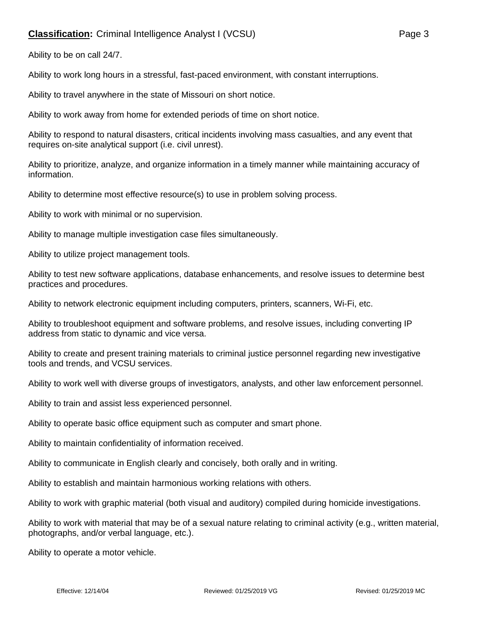## **Classification:** Criminal Intelligence Analyst I (VCSU) **Page 3** Page 3

Ability to be on call 24/7.

Ability to work long hours in a stressful, fast-paced environment, with constant interruptions.

Ability to travel anywhere in the state of Missouri on short notice.

Ability to work away from home for extended periods of time on short notice.

Ability to respond to natural disasters, critical incidents involving mass casualties, and any event that requires on-site analytical support (i.e. civil unrest).

Ability to prioritize, analyze, and organize information in a timely manner while maintaining accuracy of information.

Ability to determine most effective resource(s) to use in problem solving process.

Ability to work with minimal or no supervision.

Ability to manage multiple investigation case files simultaneously.

Ability to utilize project management tools.

Ability to test new software applications, database enhancements, and resolve issues to determine best practices and procedures.

Ability to network electronic equipment including computers, printers, scanners, Wi-Fi, etc.

Ability to troubleshoot equipment and software problems, and resolve issues, including converting IP address from static to dynamic and vice versa.

Ability to create and present training materials to criminal justice personnel regarding new investigative tools and trends, and VCSU services.

Ability to work well with diverse groups of investigators, analysts, and other law enforcement personnel.

Ability to train and assist less experienced personnel.

Ability to operate basic office equipment such as computer and smart phone.

Ability to maintain confidentiality of information received.

Ability to communicate in English clearly and concisely, both orally and in writing.

Ability to establish and maintain harmonious working relations with others.

Ability to work with graphic material (both visual and auditory) compiled during homicide investigations.

Ability to work with material that may be of a sexual nature relating to criminal activity (e.g., written material, photographs, and/or verbal language, etc.).

Ability to operate a motor vehicle.